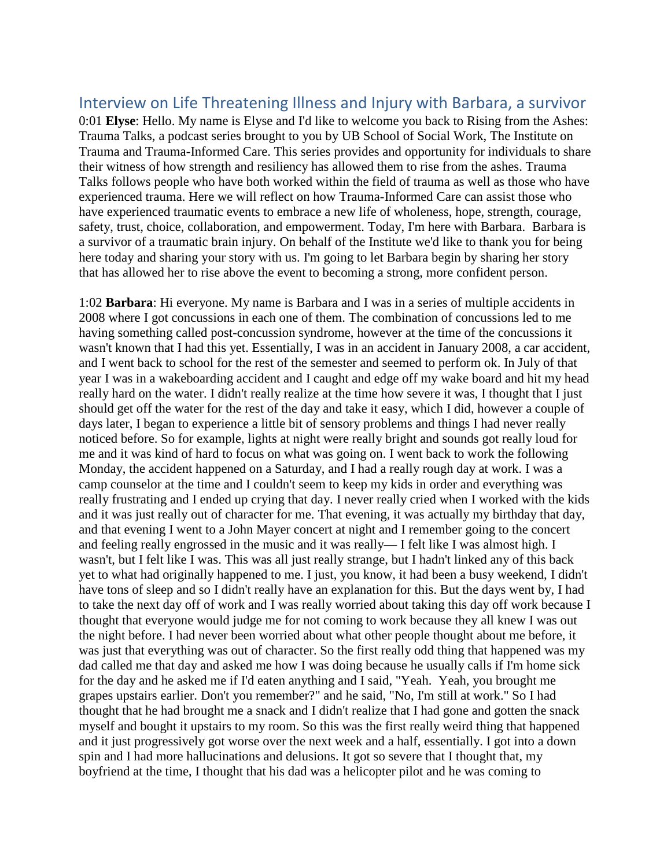## Interview on Life Threatening Illness and Injury with Barbara, a survivor

0:01 **Elyse**: Hello. My name is Elyse and I'd like to welcome you back to Rising from the Ashes: Trauma Talks, a podcast series brought to you by UB School of Social Work, The Institute on Trauma and Trauma-Informed Care. This series provides and opportunity for individuals to share their witness of how strength and resiliency has allowed them to rise from the ashes. Trauma Talks follows people who have both worked within the field of trauma as well as those who have experienced trauma. Here we will reflect on how Trauma-Informed Care can assist those who have experienced traumatic events to embrace a new life of wholeness, hope, strength, courage, safety, trust, choice, collaboration, and empowerment. Today, I'm here with Barbara. Barbara is a survivor of a traumatic brain injury. On behalf of the Institute we'd like to thank you for being here today and sharing your story with us. I'm going to let Barbara begin by sharing her story that has allowed her to rise above the event to becoming a strong, more confident person.

1:02 **Barbara**: Hi everyone. My name is Barbara and I was in a series of multiple accidents in 2008 where I got concussions in each one of them. The combination of concussions led to me having something called post-concussion syndrome, however at the time of the concussions it wasn't known that I had this yet. Essentially, I was in an accident in January 2008, a car accident, and I went back to school for the rest of the semester and seemed to perform ok. In July of that year I was in a wakeboarding accident and I caught and edge off my wake board and hit my head really hard on the water. I didn't really realize at the time how severe it was, I thought that I just should get off the water for the rest of the day and take it easy, which I did, however a couple of days later, I began to experience a little bit of sensory problems and things I had never really noticed before. So for example, lights at night were really bright and sounds got really loud for me and it was kind of hard to focus on what was going on. I went back to work the following Monday, the accident happened on a Saturday, and I had a really rough day at work. I was a camp counselor at the time and I couldn't seem to keep my kids in order and everything was really frustrating and I ended up crying that day. I never really cried when I worked with the kids and it was just really out of character for me. That evening, it was actually my birthday that day, and that evening I went to a John Mayer concert at night and I remember going to the concert and feeling really engrossed in the music and it was really— I felt like I was almost high. I wasn't, but I felt like I was. This was all just really strange, but I hadn't linked any of this back yet to what had originally happened to me. I just, you know, it had been a busy weekend, I didn't have tons of sleep and so I didn't really have an explanation for this. But the days went by, I had to take the next day off of work and I was really worried about taking this day off work because I thought that everyone would judge me for not coming to work because they all knew I was out the night before. I had never been worried about what other people thought about me before, it was just that everything was out of character. So the first really odd thing that happened was my dad called me that day and asked me how I was doing because he usually calls if I'm home sick for the day and he asked me if I'd eaten anything and I said, "Yeah. Yeah, you brought me grapes upstairs earlier. Don't you remember?" and he said, "No, I'm still at work." So I had thought that he had brought me a snack and I didn't realize that I had gone and gotten the snack myself and bought it upstairs to my room. So this was the first really weird thing that happened and it just progressively got worse over the next week and a half, essentially. I got into a down spin and I had more hallucinations and delusions. It got so severe that I thought that, my boyfriend at the time, I thought that his dad was a helicopter pilot and he was coming to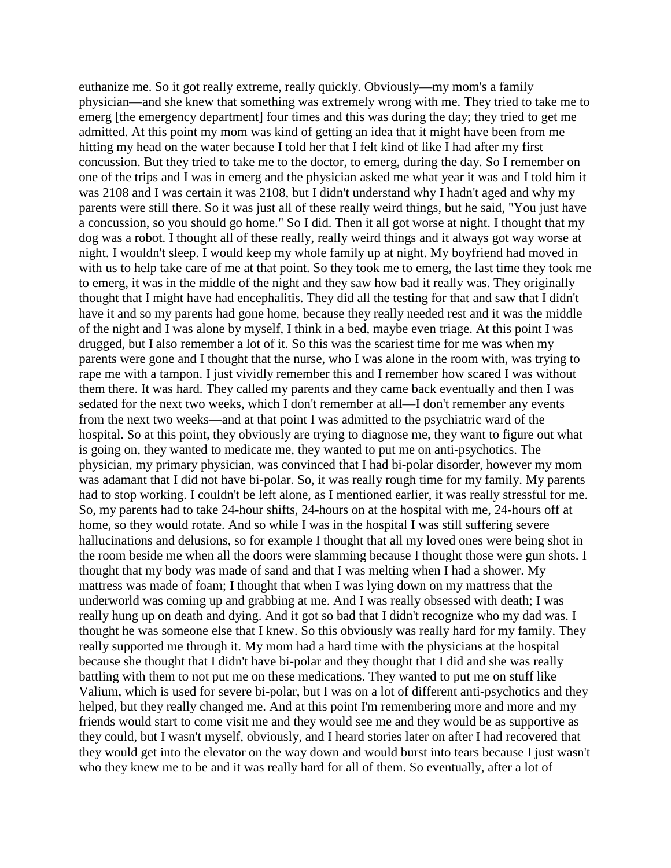euthanize me. So it got really extreme, really quickly. Obviously—my mom's a family physician—and she knew that something was extremely wrong with me. They tried to take me to emerg [the emergency department] four times and this was during the day; they tried to get me admitted. At this point my mom was kind of getting an idea that it might have been from me hitting my head on the water because I told her that I felt kind of like I had after my first concussion. But they tried to take me to the doctor, to emerg, during the day. So I remember on one of the trips and I was in emerg and the physician asked me what year it was and I told him it was 2108 and I was certain it was 2108, but I didn't understand why I hadn't aged and why my parents were still there. So it was just all of these really weird things, but he said, "You just have a concussion, so you should go home." So I did. Then it all got worse at night. I thought that my dog was a robot. I thought all of these really, really weird things and it always got way worse at night. I wouldn't sleep. I would keep my whole family up at night. My boyfriend had moved in with us to help take care of me at that point. So they took me to emerg, the last time they took me to emerg, it was in the middle of the night and they saw how bad it really was. They originally thought that I might have had encephalitis. They did all the testing for that and saw that I didn't have it and so my parents had gone home, because they really needed rest and it was the middle of the night and I was alone by myself, I think in a bed, maybe even triage. At this point I was drugged, but I also remember a lot of it. So this was the scariest time for me was when my parents were gone and I thought that the nurse, who I was alone in the room with, was trying to rape me with a tampon. I just vividly remember this and I remember how scared I was without them there. It was hard. They called my parents and they came back eventually and then I was sedated for the next two weeks, which I don't remember at all—I don't remember any events from the next two weeks—and at that point I was admitted to the psychiatric ward of the hospital. So at this point, they obviously are trying to diagnose me, they want to figure out what is going on, they wanted to medicate me, they wanted to put me on anti-psychotics. The physician, my primary physician, was convinced that I had bi-polar disorder, however my mom was adamant that I did not have bi-polar. So, it was really rough time for my family. My parents had to stop working. I couldn't be left alone, as I mentioned earlier, it was really stressful for me. So, my parents had to take 24-hour shifts, 24-hours on at the hospital with me, 24-hours off at home, so they would rotate. And so while I was in the hospital I was still suffering severe hallucinations and delusions, so for example I thought that all my loved ones were being shot in the room beside me when all the doors were slamming because I thought those were gun shots. I thought that my body was made of sand and that I was melting when I had a shower. My mattress was made of foam; I thought that when I was lying down on my mattress that the underworld was coming up and grabbing at me. And I was really obsessed with death; I was really hung up on death and dying. And it got so bad that I didn't recognize who my dad was. I thought he was someone else that I knew. So this obviously was really hard for my family. They really supported me through it. My mom had a hard time with the physicians at the hospital because she thought that I didn't have bi-polar and they thought that I did and she was really battling with them to not put me on these medications. They wanted to put me on stuff like Valium, which is used for severe bi-polar, but I was on a lot of different anti-psychotics and they helped, but they really changed me. And at this point I'm remembering more and more and my friends would start to come visit me and they would see me and they would be as supportive as they could, but I wasn't myself, obviously, and I heard stories later on after I had recovered that they would get into the elevator on the way down and would burst into tears because I just wasn't who they knew me to be and it was really hard for all of them. So eventually, after a lot of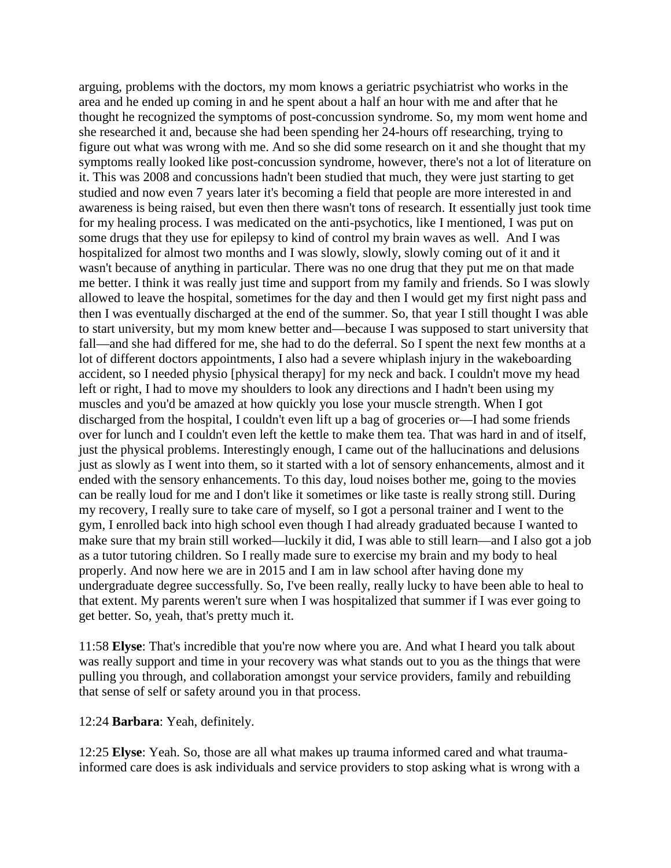arguing, problems with the doctors, my mom knows a geriatric psychiatrist who works in the area and he ended up coming in and he spent about a half an hour with me and after that he thought he recognized the symptoms of post-concussion syndrome. So, my mom went home and she researched it and, because she had been spending her 24-hours off researching, trying to figure out what was wrong with me. And so she did some research on it and she thought that my symptoms really looked like post-concussion syndrome, however, there's not a lot of literature on it. This was 2008 and concussions hadn't been studied that much, they were just starting to get studied and now even 7 years later it's becoming a field that people are more interested in and awareness is being raised, but even then there wasn't tons of research. It essentially just took time for my healing process. I was medicated on the anti-psychotics, like I mentioned, I was put on some drugs that they use for epilepsy to kind of control my brain waves as well. And I was hospitalized for almost two months and I was slowly, slowly, slowly coming out of it and it wasn't because of anything in particular. There was no one drug that they put me on that made me better. I think it was really just time and support from my family and friends. So I was slowly allowed to leave the hospital, sometimes for the day and then I would get my first night pass and then I was eventually discharged at the end of the summer. So, that year I still thought I was able to start university, but my mom knew better and—because I was supposed to start university that fall—and she had differed for me, she had to do the deferral. So I spent the next few months at a lot of different doctors appointments, I also had a severe whiplash injury in the wakeboarding accident, so I needed physio [physical therapy] for my neck and back. I couldn't move my head left or right, I had to move my shoulders to look any directions and I hadn't been using my muscles and you'd be amazed at how quickly you lose your muscle strength. When I got discharged from the hospital, I couldn't even lift up a bag of groceries or—I had some friends over for lunch and I couldn't even left the kettle to make them tea. That was hard in and of itself, just the physical problems. Interestingly enough, I came out of the hallucinations and delusions just as slowly as I went into them, so it started with a lot of sensory enhancements, almost and it ended with the sensory enhancements. To this day, loud noises bother me, going to the movies can be really loud for me and I don't like it sometimes or like taste is really strong still. During my recovery, I really sure to take care of myself, so I got a personal trainer and I went to the gym, I enrolled back into high school even though I had already graduated because I wanted to make sure that my brain still worked—luckily it did, I was able to still learn—and I also got a job as a tutor tutoring children. So I really made sure to exercise my brain and my body to heal properly. And now here we are in 2015 and I am in law school after having done my undergraduate degree successfully. So, I've been really, really lucky to have been able to heal to that extent. My parents weren't sure when I was hospitalized that summer if I was ever going to get better. So, yeah, that's pretty much it.

11:58 **Elyse**: That's incredible that you're now where you are. And what I heard you talk about was really support and time in your recovery was what stands out to you as the things that were pulling you through, and collaboration amongst your service providers, family and rebuilding that sense of self or safety around you in that process.

## 12:24 **Barbara**: Yeah, definitely.

12:25 **Elyse**: Yeah. So, those are all what makes up trauma informed cared and what traumainformed care does is ask individuals and service providers to stop asking what is wrong with a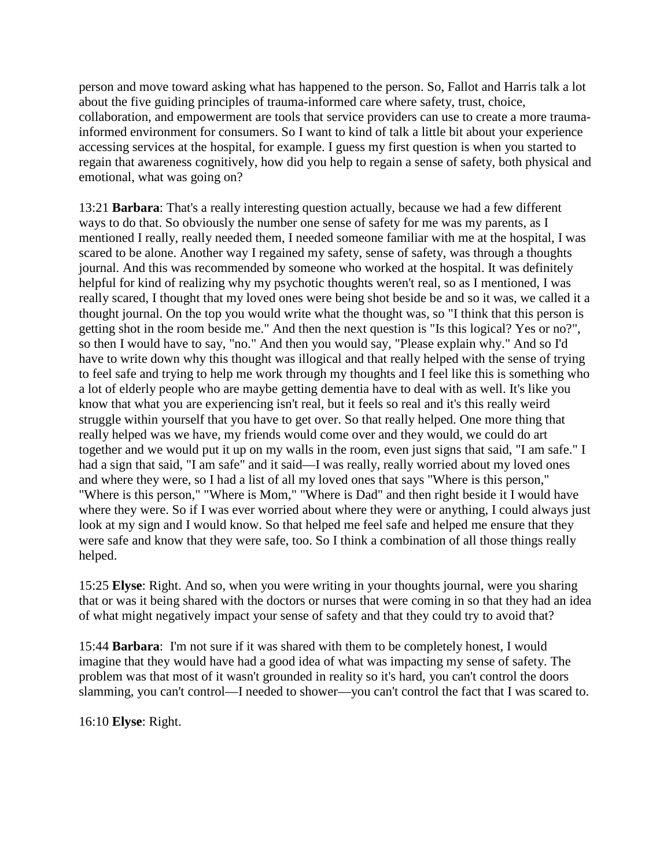person and move toward asking what has happened to the person. So, Fallot and Harris talk a lot about the five guiding principles of trauma-informed care where safety, trust, choice, collaboration, and empowerment are tools that service providers can use to create a more traumainformed environment for consumers. So I want to kind of talk a little bit about your experience accessing services at the hospital, for example. I guess my first question is when you started to regain that awareness cognitively, how did you help to regain a sense of safety, both physical and emotional, what was going on?

13:21 **Barbara**: That's a really interesting question actually, because we had a few different ways to do that. So obviously the number one sense of safety for me was my parents, as I mentioned I really, really needed them, I needed someone familiar with me at the hospital, I was scared to be alone. Another way I regained my safety, sense of safety, was through a thoughts journal. And this was recommended by someone who worked at the hospital. It was definitely helpful for kind of realizing why my psychotic thoughts weren't real, so as I mentioned, I was really scared, I thought that my loved ones were being shot beside be and so it was, we called it a thought journal. On the top you would write what the thought was, so "I think that this person is getting shot in the room beside me." And then the next question is "Is this logical? Yes or no?", so then I would have to say, "no." And then you would say, "Please explain why." And so I'd have to write down why this thought was illogical and that really helped with the sense of trying to feel safe and trying to help me work through my thoughts and I feel like this is something who a lot of elderly people who are maybe getting dementia have to deal with as well. It's like you know that what you are experiencing isn't real, but it feels so real and it's this really weird struggle within yourself that you have to get over. So that really helped. One more thing that really helped was we have, my friends would come over and they would, we could do art together and we would put it up on my walls in the room, even just signs that said, "I am safe." I had a sign that said, "I am safe" and it said—I was really, really worried about my loved ones and where they were, so I had a list of all my loved ones that says "Where is this person," "Where is this person," "Where is Mom," "Where is Dad" and then right beside it I would have where they were. So if I was ever worried about where they were or anything, I could always just look at my sign and I would know. So that helped me feel safe and helped me ensure that they were safe and know that they were safe, too. So I think a combination of all those things really helped.

15:25 **Elyse**: Right. And so, when you were writing in your thoughts journal, were you sharing that or was it being shared with the doctors or nurses that were coming in so that they had an idea of what might negatively impact your sense of safety and that they could try to avoid that?

15:44 **Barbara**: I'm not sure if it was shared with them to be completely honest, I would imagine that they would have had a good idea of what was impacting my sense of safety. The problem was that most of it wasn't grounded in reality so it's hard, you can't control the doors slamming, you can't control—I needed to shower—you can't control the fact that I was scared to.

16:10 **Elyse**: Right.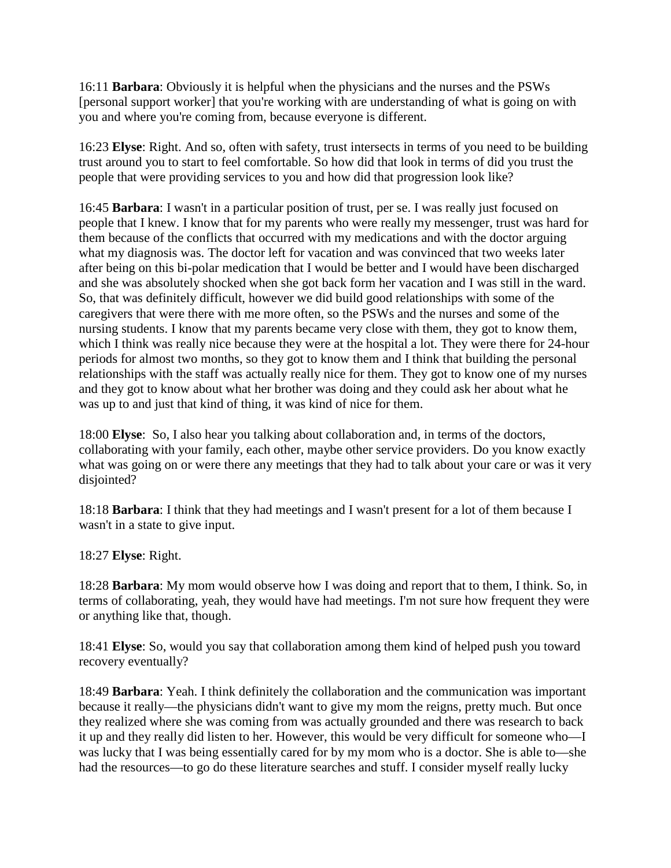16:11 **Barbara**: Obviously it is helpful when the physicians and the nurses and the PSWs [personal support worker] that you're working with are understanding of what is going on with you and where you're coming from, because everyone is different.

16:23 **Elyse**: Right. And so, often with safety, trust intersects in terms of you need to be building trust around you to start to feel comfortable. So how did that look in terms of did you trust the people that were providing services to you and how did that progression look like?

16:45 **Barbara**: I wasn't in a particular position of trust, per se. I was really just focused on people that I knew. I know that for my parents who were really my messenger, trust was hard for them because of the conflicts that occurred with my medications and with the doctor arguing what my diagnosis was. The doctor left for vacation and was convinced that two weeks later after being on this bi-polar medication that I would be better and I would have been discharged and she was absolutely shocked when she got back form her vacation and I was still in the ward. So, that was definitely difficult, however we did build good relationships with some of the caregivers that were there with me more often, so the PSWs and the nurses and some of the nursing students. I know that my parents became very close with them, they got to know them, which I think was really nice because they were at the hospital a lot. They were there for 24-hour periods for almost two months, so they got to know them and I think that building the personal relationships with the staff was actually really nice for them. They got to know one of my nurses and they got to know about what her brother was doing and they could ask her about what he was up to and just that kind of thing, it was kind of nice for them.

18:00 **Elyse**: So, I also hear you talking about collaboration and, in terms of the doctors, collaborating with your family, each other, maybe other service providers. Do you know exactly what was going on or were there any meetings that they had to talk about your care or was it very disjointed?

18:18 **Barbara**: I think that they had meetings and I wasn't present for a lot of them because I wasn't in a state to give input.

18:27 **Elyse**: Right.

18:28 **Barbara**: My mom would observe how I was doing and report that to them, I think. So, in terms of collaborating, yeah, they would have had meetings. I'm not sure how frequent they were or anything like that, though.

18:41 **Elyse**: So, would you say that collaboration among them kind of helped push you toward recovery eventually?

18:49 **Barbara**: Yeah. I think definitely the collaboration and the communication was important because it really—the physicians didn't want to give my mom the reigns, pretty much. But once they realized where she was coming from was actually grounded and there was research to back it up and they really did listen to her. However, this would be very difficult for someone who—I was lucky that I was being essentially cared for by my mom who is a doctor. She is able to—she had the resources—to go do these literature searches and stuff. I consider myself really lucky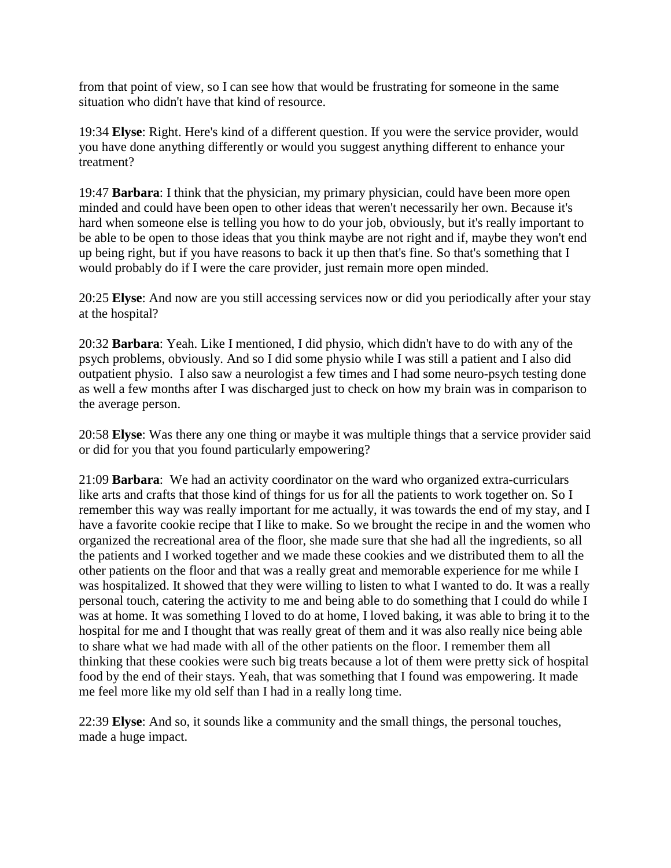from that point of view, so I can see how that would be frustrating for someone in the same situation who didn't have that kind of resource.

19:34 **Elyse**: Right. Here's kind of a different question. If you were the service provider, would you have done anything differently or would you suggest anything different to enhance your treatment?

19:47 **Barbara**: I think that the physician, my primary physician, could have been more open minded and could have been open to other ideas that weren't necessarily her own. Because it's hard when someone else is telling you how to do your job, obviously, but it's really important to be able to be open to those ideas that you think maybe are not right and if, maybe they won't end up being right, but if you have reasons to back it up then that's fine. So that's something that I would probably do if I were the care provider, just remain more open minded.

20:25 **Elyse**: And now are you still accessing services now or did you periodically after your stay at the hospital?

20:32 **Barbara**: Yeah. Like I mentioned, I did physio, which didn't have to do with any of the psych problems, obviously. And so I did some physio while I was still a patient and I also did outpatient physio. I also saw a neurologist a few times and I had some neuro-psych testing done as well a few months after I was discharged just to check on how my brain was in comparison to the average person.

20:58 **Elyse**: Was there any one thing or maybe it was multiple things that a service provider said or did for you that you found particularly empowering?

21:09 **Barbara**: We had an activity coordinator on the ward who organized extra-curriculars like arts and crafts that those kind of things for us for all the patients to work together on. So I remember this way was really important for me actually, it was towards the end of my stay, and I have a favorite cookie recipe that I like to make. So we brought the recipe in and the women who organized the recreational area of the floor, she made sure that she had all the ingredients, so all the patients and I worked together and we made these cookies and we distributed them to all the other patients on the floor and that was a really great and memorable experience for me while I was hospitalized. It showed that they were willing to listen to what I wanted to do. It was a really personal touch, catering the activity to me and being able to do something that I could do while I was at home. It was something I loved to do at home, I loved baking, it was able to bring it to the hospital for me and I thought that was really great of them and it was also really nice being able to share what we had made with all of the other patients on the floor. I remember them all thinking that these cookies were such big treats because a lot of them were pretty sick of hospital food by the end of their stays. Yeah, that was something that I found was empowering. It made me feel more like my old self than I had in a really long time.

22:39 **Elyse**: And so, it sounds like a community and the small things, the personal touches, made a huge impact.